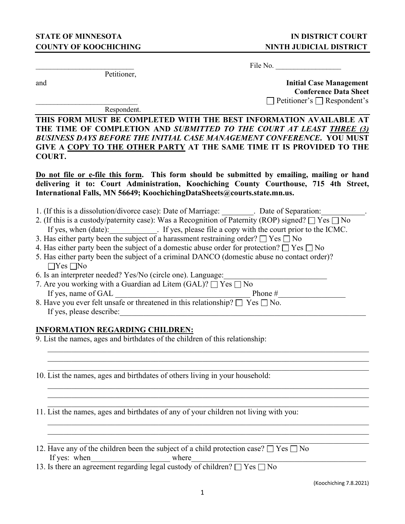Petitioner,

File No.

and **Initial Case Management Conference Data Sheet**   $\Box$  Petitioner's  $\Box$  Respondent's

Respondent.

**THIS FORM MUST BE COMPLETED WITH THE BEST INFORMATION AVAILABLE AT THE TIME OF COMPLETION AND** *SUBMITTED TO THE COURT AT LEAST THREE (3) BUSINESS DAYS BEFORE THE INITIAL CASE MANAGEMENT CONFERENCE***. YOU MUST GIVE A COPY TO THE OTHER PARTY AT THE SAME TIME IT IS PROVIDED TO THE COURT.** 

**Do not file or e-file this form. This form should be submitted by emailing, mailing or hand delivering it to: Court Administration, Koochiching County Courthouse, 715 4th Street, International Falls, MN 56649; KoochichingDataSheets@courts.state.mn.us.** 

- 1. (If this is a dissolution/divorce case): Date of Marriage: \_\_\_\_\_\_\_\_. Date of Separation:\_\_\_\_\_\_\_\_\_\_\_.
- 2. (If this is a custody/paternity case): Was a Recognition of Paternity (ROP) signed?  $\Box$  Yes  $\Box$  No If yes, when (date):  $\qquad \qquad$  If yes, please file a copy with the court prior to the ICMC.
- 3. Has either party been the subject of a harassment restraining order?  $\Box$  Yes  $\Box$  No
- 4. Has either party been the subject of a domestic abuse order for protection?  $\Box$  Yes  $\Box$  No
- 5. Has either party been the subject of a criminal DANCO (domestic abuse no contact order)?  $\Box$ Yes  $\Box$ No
- 6. Is an interpreter needed? Yes/No (circle one). Language:
- 7. Are you working with a Guardian ad Litem (GAL)? Yes No If yes, name of GAL  $\Box$
- 8. Have you ever felt unsafe or threatened in this relationship?  $\square$  Yes  $\square$  No. If yes, please describe:

## **INFORMATION REGARDING CHILDREN:**

- 9. List the names, ages and birthdates of the children of this relationship:
- 10. List the names, ages and birthdates of others living in your household:

11. List the names, ages and birthdates of any of your children not living with you:

- 12. Have any of the children been the subject of a child protection case?  $\Box$  Yes  $\Box$  No If yes: when  $\blacksquare$  where  $\blacksquare$  where  $\blacksquare$
- 13. Is there an agreement regarding legal custody of children?  $\Box$  Yes  $\Box$  No

(Koochiching 7.8.2021)

\_\_\_\_\_\_\_\_\_\_\_\_\_\_\_\_\_\_\_\_\_\_\_\_\_\_\_\_\_\_\_\_\_\_\_\_\_\_\_\_\_\_\_\_\_\_\_\_\_\_\_\_\_\_\_\_\_\_\_\_\_\_\_\_\_\_\_\_\_\_\_\_\_\_\_\_\_\_\_\_\_

 $\mathcal{L}_\mathcal{L} = \mathcal{L}_\mathcal{L} = \mathcal{L}_\mathcal{L} = \mathcal{L}_\mathcal{L} = \mathcal{L}_\mathcal{L} = \mathcal{L}_\mathcal{L} = \mathcal{L}_\mathcal{L} = \mathcal{L}_\mathcal{L} = \mathcal{L}_\mathcal{L} = \mathcal{L}_\mathcal{L} = \mathcal{L}_\mathcal{L} = \mathcal{L}_\mathcal{L} = \mathcal{L}_\mathcal{L} = \mathcal{L}_\mathcal{L} = \mathcal{L}_\mathcal{L} = \mathcal{L}_\mathcal{L} = \mathcal{L}_\mathcal{L}$ 

\_\_\_\_\_\_\_\_\_\_\_\_\_\_\_\_\_\_\_\_\_\_\_\_\_\_\_\_\_\_\_\_\_\_\_\_\_\_\_\_\_\_\_\_\_\_\_\_\_\_\_\_\_\_\_\_\_\_\_\_\_\_\_\_\_\_\_\_\_\_\_\_\_\_\_\_\_\_\_\_\_

\_\_\_\_\_\_\_\_\_\_\_\_\_\_\_\_\_\_\_\_\_\_\_\_\_\_\_\_\_\_\_\_\_\_\_\_\_\_\_\_\_\_\_\_\_\_\_\_\_\_\_\_\_\_\_\_\_\_\_\_\_\_\_\_\_\_\_\_\_\_\_\_\_\_\_\_\_\_\_\_\_  $\mathcal{L}_\mathcal{L} = \mathcal{L}_\mathcal{L} = \mathcal{L}_\mathcal{L} = \mathcal{L}_\mathcal{L} = \mathcal{L}_\mathcal{L} = \mathcal{L}_\mathcal{L} = \mathcal{L}_\mathcal{L} = \mathcal{L}_\mathcal{L} = \mathcal{L}_\mathcal{L} = \mathcal{L}_\mathcal{L} = \mathcal{L}_\mathcal{L} = \mathcal{L}_\mathcal{L} = \mathcal{L}_\mathcal{L} = \mathcal{L}_\mathcal{L} = \mathcal{L}_\mathcal{L} = \mathcal{L}_\mathcal{L} = \mathcal{L}_\mathcal{L}$